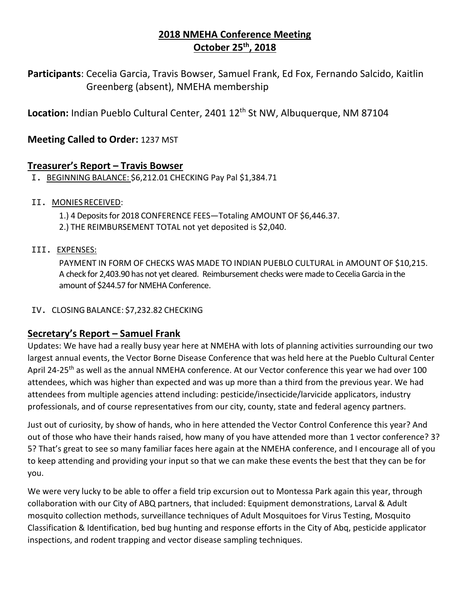# **2018 NMEHA Conference Meeting October 25th, 2018**

**Participants**: Cecelia Garcia, Travis Bowser, Samuel Frank, Ed Fox, Fernando Salcido, Kaitlin Greenberg (absent), NMEHA membership

Location: Indian Pueblo Cultural Center, 2401 12<sup>th</sup> St NW, Albuquerque, NM 87104

## **Meeting Called to Order:** 1237 MST

## **Treasurer's Report – Travis Bowser**

I. BEGINNING BALANCE: \$6,212.01 CHECKING Pay Pal \$1,384.71

#### II. MONIESRECEIVED:

1.) 4 Deposits for 2018 CONFERENCE FEES—Totaling AMOUNT OF \$6,446.37.

2.) THE REIMBURSEMENT TOTAL not yet deposited is \$2,040.

#### III. EXPENSES:

PAYMENT IN FORM OF CHECKS WAS MADE TO INDIAN PUEBLO CULTURAL in AMOUNT OF \$10,215. A check for 2,403.90 has not yet cleared. Reimbursement checks were made to Cecelia Garcia in the amount of \$244.57 for NMEHA Conference.

#### IV. CLOSING BALANCE: \$7,232.82 CHECKING

## **Secretary's Report – Samuel Frank**

Updates: We have had a really busy year here at NMEHA with lots of planning activities surrounding our two largest annual events, the Vector Borne Disease Conference that was held here at the Pueblo Cultural Center April 24-25<sup>th</sup> as well as the annual NMEHA conference. At our Vector conference this year we had over 100 attendees, which was higher than expected and was up more than a third from the previous year. We had attendees from multiple agencies attend including: pesticide/insecticide/larvicide applicators, industry professionals, and of course representatives from our city, county, state and federal agency partners.

Just out of curiosity, by show of hands, who in here attended the Vector Control Conference this year? And out of those who have their hands raised, how many of you have attended more than 1 vector conference? 3? 5? That's great to see so many familiar faces here again at the NMEHA conference, and I encourage all of you to keep attending and providing your input so that we can make these events the best that they can be for you.

We were very lucky to be able to offer a field trip excursion out to Montessa Park again this year, through collaboration with our City of ABQ partners, that included: Equipment demonstrations, Larval & Adult mosquito collection methods, surveillance techniques of Adult Mosquitoes for Virus Testing, Mosquito Classification & Identification, bed bug hunting and response efforts in the City of Abq, pesticide applicator inspections, and rodent trapping and vector disease sampling techniques.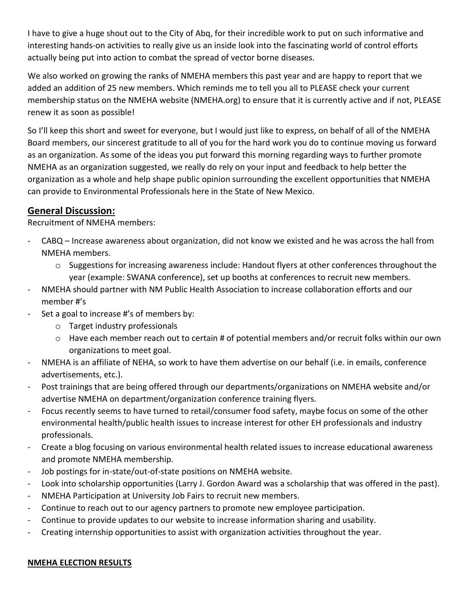I have to give a huge shout out to the City of Abq, for their incredible work to put on such informative and interesting hands-on activities to really give us an inside look into the fascinating world of control efforts actually being put into action to combat the spread of vector borne diseases.

We also worked on growing the ranks of NMEHA members this past year and are happy to report that we added an addition of 25 new members. Which reminds me to tell you all to PLEASE check your current membership status on the NMEHA website (NMEHA.org) to ensure that it is currently active and if not, PLEASE renew it as soon as possible!

So I'll keep this short and sweet for everyone, but I would just like to express, on behalf of all of the NMEHA Board members, our sincerest gratitude to all of you for the hard work you do to continue moving us forward as an organization. As some of the ideas you put forward this morning regarding ways to further promote NMEHA as an organization suggested, we really do rely on your input and feedback to help better the organization as a whole and help shape public opinion surrounding the excellent opportunities that NMEHA can provide to Environmental Professionals here in the State of New Mexico.

# **General Discussion:**

Recruitment of NMEHA members:

- CABQ Increase awareness about organization, did not know we existed and he was across the hall from NMEHA members.
	- o Suggestions for increasing awareness include: Handout flyers at other conferences throughout the year (example: SWANA conference), set up booths at conferences to recruit new members.
- NMEHA should partner with NM Public Health Association to increase collaboration efforts and our member #'s
- Set a goal to increase #'s of members by:
	- o Target industry professionals
	- o Have each member reach out to certain # of potential members and/or recruit folks within our own organizations to meet goal.
- NMEHA is an affiliate of NEHA, so work to have them advertise on our behalf (i.e. in emails, conference advertisements, etc.).
- Post trainings that are being offered through our departments/organizations on NMEHA website and/or advertise NMEHA on department/organization conference training flyers.
- Focus recently seems to have turned to retail/consumer food safety, maybe focus on some of the other environmental health/public health issues to increase interest for other EH professionals and industry professionals.
- Create a blog focusing on various environmental health related issues to increase educational awareness and promote NMEHA membership.
- Job postings for in-state/out-of-state positions on NMEHA website.
- Look into scholarship opportunities (Larry J. Gordon Award was a scholarship that was offered in the past).
- NMEHA Participation at University Job Fairs to recruit new members.
- Continue to reach out to our agency partners to promote new employee participation.
- Continue to provide updates to our website to increase information sharing and usability.
- Creating internship opportunities to assist with organization activities throughout the year.

#### **NMEHA ELECTION RESULTS**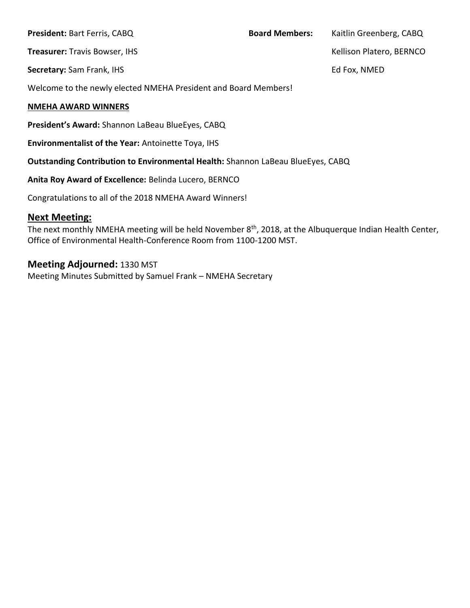| <b>President: Bart Ferris, CABQ</b>                                                    | <b>Board Members:</b> | Kaitlin Greenberg, CABQ  |
|----------------------------------------------------------------------------------------|-----------------------|--------------------------|
| <b>Treasurer: Travis Bowser, IHS</b>                                                   |                       | Kellison Platero, BERNCO |
| Secretary: Sam Frank, IHS                                                              |                       | Ed Fox, NMED             |
| Welcome to the newly elected NMEHA President and Board Members!                        |                       |                          |
| <b>NMEHA AWARD WINNERS</b>                                                             |                       |                          |
| President's Award: Shannon LaBeau BlueEyes, CABQ                                       |                       |                          |
| <b>Environmentalist of the Year: Antoinette Toya, IHS</b>                              |                       |                          |
| <b>Outstanding Contribution to Environmental Health: Shannon LaBeau BlueEyes, CABQ</b> |                       |                          |

**Anita Roy Award of Excellence:** Belinda Lucero, BERNCO

Congratulations to all of the 2018 NMEHA Award Winners!

### **Next Meeting:**

The next monthly NMEHA meeting will be held November 8<sup>th</sup>, 2018, at the Albuquerque Indian Health Center, Office of Environmental Health-Conference Room from 1100-1200 MST.

## **Meeting Adjourned:** 1330 MST

Meeting Minutes Submitted by Samuel Frank – NMEHA Secretary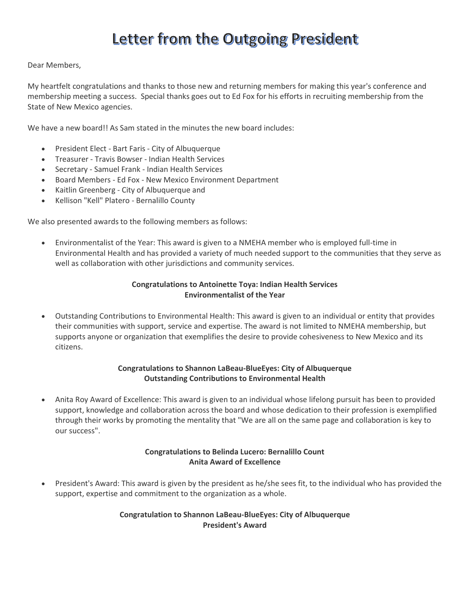# Letter from the Outgoing President

#### Dear Members,

My heartfelt congratulations and thanks to those new and returning members for making this year's conference and membership meeting a success. Special thanks goes out to Ed Fox for his efforts in recruiting membership from the State of New Mexico agencies.

We have a new board!! As Sam stated in the minutes the new board includes:

- President Elect Bart Faris City of Albuquerque
- Treasurer Travis Bowser Indian Health Services
- Secretary Samuel Frank Indian Health Services
- Board Members Ed Fox New Mexico Environment Department
- Kaitlin Greenberg City of Albuquerque and
- Kellison "Kell" Platero Bernalillo County

We also presented awards to the following members as follows:

 Environmentalist of the Year: This award is given to a NMEHA member who is employed full-time in Environmental Health and has provided a variety of much needed support to the communities that they serve as well as collaboration with other jurisdictions and community services.

#### **Congratulations to Antoinette Toya: Indian Health Services Environmentalist of the Year**

 Outstanding Contributions to Environmental Health: This award is given to an individual or entity that provides their communities with support, service and expertise. The award is not limited to NMEHA membership, but supports anyone or organization that exemplifies the desire to provide cohesiveness to New Mexico and its citizens.

#### **Congratulations to Shannon LaBeau-BlueEyes: City of Albuquerque Outstanding Contributions to Environmental Health**

 Anita Roy Award of Excellence: This award is given to an individual whose lifelong pursuit has been to provided support, knowledge and collaboration across the board and whose dedication to their profession is exemplified through their works by promoting the mentality that "We are all on the same page and collaboration is key to our success".

#### **Congratulations to Belinda Lucero: Bernalillo Count Anita Award of Excellence**

 President's Award: This award is given by the president as he/she sees fit, to the individual who has provided the support, expertise and commitment to the organization as a whole.

#### **Congratulation to Shannon LaBeau-BlueEyes: City of Albuquerque President's Award**